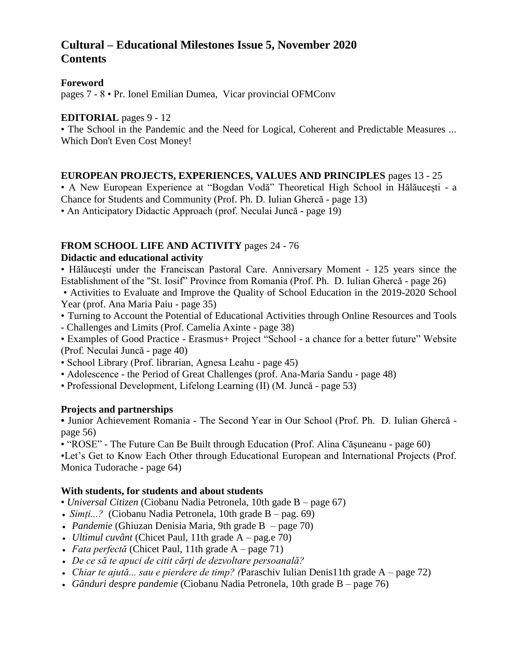# **Cultural – Educational Milestones Issue 5, November 2020 Contents**

#### **Foreword**

pages 7 - 8 • Pr. Ionel Emilian Dumea, Vicar provincial OFMConv

#### **EDITORIAL** pages 9 - 12

• The School in the Pandemic and the Need for Logical, Coherent and Predictable Measures ... Which Don't Even Cost Money!

#### **EUROPEAN PROJECTS, EXPERIENCES, VALUES AND PRINCIPLES** pages 13 - 25

• A New European Experience at "Bogdan Vodă" Theoretical High School in Hălăucești - a Chance for Students and Community (Prof. Ph. D. Iulian Ghercă - page 13)

• An Anticipatory Didactic Approach (prof. Neculai Juncă - page 19)

## **FROM SCHOOL LIFE AND ACTIVITY** pages 24 - 76

#### **Didactic and educational activity**

• Hălăuceşti under the Franciscan Pastoral Care. Anniversary Moment - 125 years since the Establishment of the "St. Iosif" Province from Romania (Prof. Ph. D. Iulian Ghercă - page 26)

• Activities to Evaluate and Improve the Quality of School Education in the 2019-2020 School Year (prof. Ana Maria Paiu - page 35)

- Turning to Account the Potential of Educational Activities through Online Resources and Tools
- Challenges and Limits (Prof. Camelia Axinte page 38)

• Examples of Good Practice - Erasmus+ Project "School - a chance for a better future" Website (Prof. Neculai Juncă - page 40)

- School Library (Prof. librarian, Agnesa Leahu page 45)
- Adolescence the Period of Great Challenges (prof. Ana-Maria Sandu page 48)
- Professional Development, Lifelong Learning (II) (M. Juncă page 53)

## **Projects and partnerships**

**•** Junior Achievement Romania - The Second Year in Our School (Prof. Ph. D. Iulian Ghercă page 56)

• "ROSE" - The Future Can Be Built through Education (Prof. Alina Căşuneanu - page 60)

•Let's Get to Know Each Other through Educational European and International Projects (Prof. Monica Tudorache - page 64)

## **With students, for students and about students**

- *Universal Citizen* (Ciobanu Nadia Petronela, 10th gade B page 67)
- *Simți...?* (Ciobanu Nadia Petronela, 10th grade B pag. 69)
- *Pandemie* (Ghiuzan Denisia Maria, 9th grade B page 70)
- *Ultimul cuvânt* (Chicet Paul, 11th grade A pag.e 70)
- *Fata perfectă* (Chicet Paul, 11th grade A page 71)
- *De ce să te apuci de citit cărți de dezvoltare persoanală?*
- *Chiar te ajută... sau e pierdere de timp? (*Paraschiv Iulian Denis11th grade A page 72)
- *Gânduri despre pandemie* (Ciobanu Nadia Petronela, 10th grade B page 76)